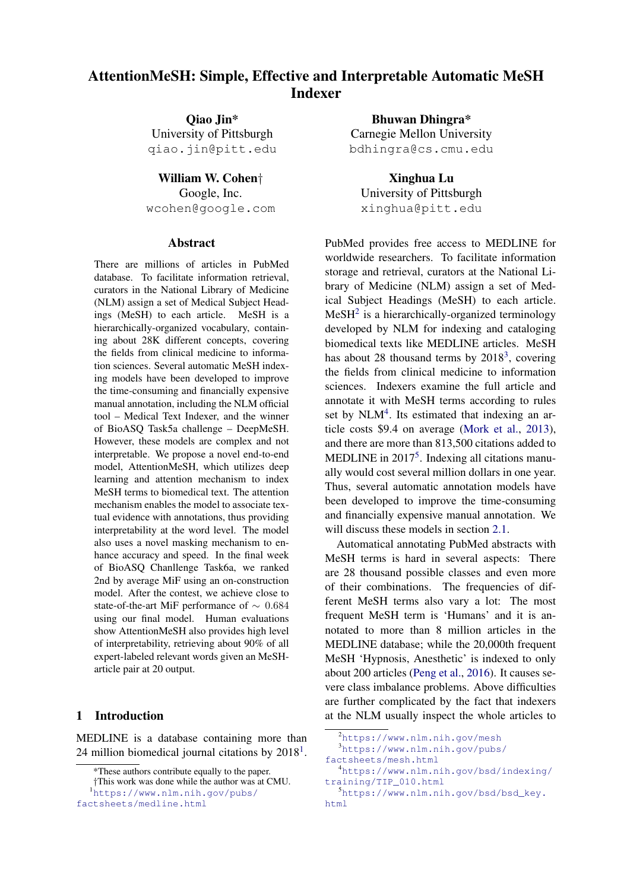# AttentionMeSH: Simple, Effective and Interpretable Automatic MeSH Indexer

Qiao Jin\* University of Pittsburgh qiao.jin@pitt.edu

William W. Cohen† Google, Inc. wcohen@google.com

#### Abstract

There are millions of articles in PubMed database. To facilitate information retrieval, curators in the National Library of Medicine (NLM) assign a set of Medical Subject Headings (MeSH) to each article. MeSH is a hierarchically-organized vocabulary, containing about 28K different concepts, covering the fields from clinical medicine to information sciences. Several automatic MeSH indexing models have been developed to improve the time-consuming and financially expensive manual annotation, including the NLM official tool – Medical Text Indexer, and the winner of BioASQ Task5a challenge – DeepMeSH. However, these models are complex and not interpretable. We propose a novel end-to-end model, AttentionMeSH, which utilizes deep learning and attention mechanism to index MeSH terms to biomedical text. The attention mechanism enables the model to associate textual evidence with annotations, thus providing interpretability at the word level. The model also uses a novel masking mechanism to enhance accuracy and speed. In the final week of BioASQ Chanllenge Task6a, we ranked 2nd by average MiF using an on-construction model. After the contest, we achieve close to state-of-the-art MiF performance of ∼ 0.684 using our final model. Human evaluations show AttentionMeSH also provides high level of interpretability, retrieving about 90% of all expert-labeled relevant words given an MeSHarticle pair at 20 output.

## 1 Introduction

MEDLINE is a database containing more than 24 million biomedical journal citations by  $2018<sup>1</sup>$ .

<sup>1</sup>https://www.nlm.nih.gov/pubs/

Bhuwan Dhingra\* Carnegie Mellon University bdhingra@cs.cmu.edu

Xinghua Lu University of Pittsburgh xinghua@pitt.edu

PubMed provides free access to MEDLINE for worldwide researchers. To facilitate information storage and retrieval, curators at the National Library of Medicine (NLM) assign a set of Medical Subject Headings (MeSH) to each article.  $MeSH<sup>2</sup>$  is a hierarchically-organized terminology developed by NLM for indexing and cataloging biomedical texts like MEDLINE articles. MeSH has about 28 thousand terms by  $2018<sup>3</sup>$ , covering the fields from clinical medicine to information sciences. Indexers examine the full article and annotate it with MeSH terms according to rules set by  $NLM<sup>4</sup>$ . Its estimated that indexing an article costs \$9.4 on average (Mork et al., 2013), and there are more than 813,500 citations added to MEDLINE in 2017<sup>5</sup>. Indexing all citations manually would cost several million dollars in one year. Thus, several automatic annotation models have been developed to improve the time-consuming and financially expensive manual annotation. We will discuss these models in section 2.1.

Automatical annotating PubMed abstracts with MeSH terms is hard in several aspects: There are 28 thousand possible classes and even more of their combinations. The frequencies of different MeSH terms also vary a lot: The most frequent MeSH term is 'Humans' and it is annotated to more than 8 million articles in the MEDLINE database; while the 20,000th frequent MeSH 'Hypnosis, Anesthetic' is indexed to only about 200 articles (Peng et al., 2016). It causes severe class imbalance problems. Above difficulties are further complicated by the fact that indexers at the NLM usually inspect the whole articles to

<sup>\*</sup>These authors contribute equally to the paper.

<sup>†</sup>This work was done while the author was at CMU.

factsheets/medline.html

<sup>2</sup>https://www.nlm.nih.gov/mesh

<sup>3</sup>https://www.nlm.nih.gov/pubs/

factsheets/mesh.html <sup>4</sup>https://www.nlm.nih.gov/bsd/indexing/

training/TIP\_010.html

<sup>5</sup>https://www.nlm.nih.gov/bsd/bsd\_key. html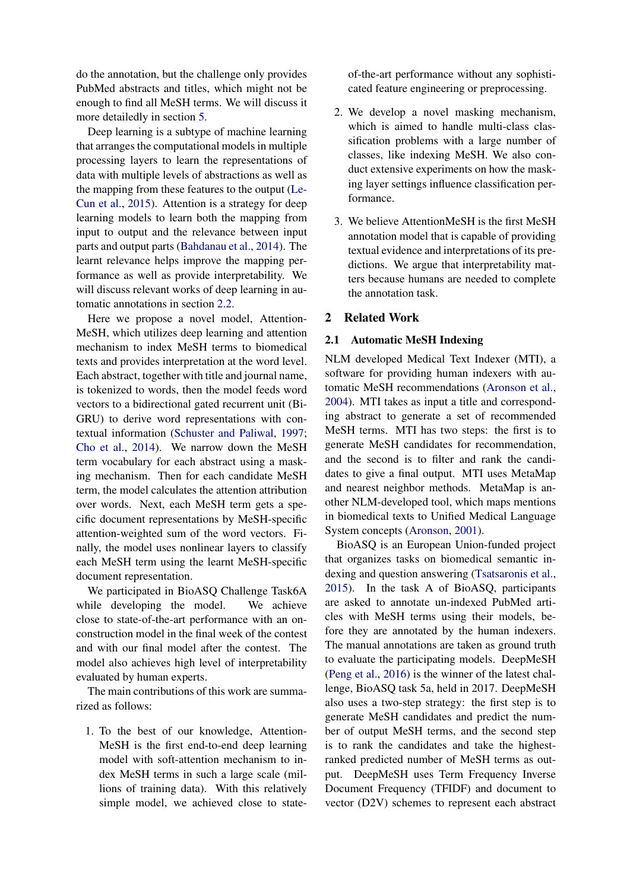do the annotation, but the challenge only provides PubMed abstracts and titles, which might not be enough to find all MeSH terms. We will discuss it more detailedly in section 5.

Deep learning is a subtype of machine learning that arranges the computational models in multiple processing layers to learn the representations of data with multiple levels of abstractions as well as the mapping from these features to the output (Le-Cun et al., 2015). Attention is a strategy for deep learning models to learn both the mapping from input to output and the relevance between input parts and output parts (Bahdanau et al., 2014). The learnt relevance helps improve the mapping performance as well as provide interpretability. We will discuss relevant works of deep learning in automatic annotations in section 2.2.

Here we propose a novel model, Attention-MeSH, which utilizes deep learning and attention mechanism to index MeSH terms to biomedical texts and provides interpretation at the word level. Each abstract, together with title and journal name, is tokenized to words, then the model feeds word vectors to a bidirectional gated recurrent unit (Bi-GRU) to derive word representations with contextual information (Schuster and Paliwal, 1997; Cho et al., 2014). We narrow down the MeSH term vocabulary for each abstract using a masking mechanism. Then for each candidate MeSH term, the model calculates the attention attribution over words. Next, each MeSH term gets a specific document representations by MeSH-specific attention-weighted sum of the word vectors. Finally, the model uses nonlinear layers to classify each MeSH term using the learnt MeSH-specific document representation.

We participated in BioASQ Challenge Task6A while developing the model. We achieve close to state-of-the-art performance with an onconstruction model in the final week of the contest and with our final model after the contest. The model also achieves high level of interpretability evaluated by human experts.

The main contributions of this work are summarized as follows:

1. To the best of our knowledge, Attention-MeSH is the first end-to-end deep learning model with soft-attention mechanism to index MeSH terms in such a large scale (millions of training data). With this relatively simple model, we achieved close to stateof-the-art performance without any sophisticated feature engineering or preprocessing.

- 2. We develop a novel masking mechanism, which is aimed to handle multi-class classification problems with a large number of classes, like indexing MeSH. We also conduct extensive experiments on how the masking layer settings influence classification performance.
- 3. We believe AttentionMeSH is the first MeSH annotation model that is capable of providing textual evidence and interpretations of its predictions. We argue that interpretability matters because humans are needed to complete the annotation task.

### 2 Related Work

### 2.1 Automatic MeSH Indexing

NLM developed Medical Text Indexer (MTI), a software for providing human indexers with automatic MeSH recommendations (Aronson et al., 2004). MTI takes as input a title and corresponding abstract to generate a set of recommended MeSH terms. MTI has two steps: the first is to generate MeSH candidates for recommendation, and the second is to filter and rank the candidates to give a final output. MTI uses MetaMap and nearest neighbor methods. MetaMap is another NLM-developed tool, which maps mentions in biomedical texts to Unified Medical Language System concepts (Aronson, 2001).

BioASQ is an European Union-funded project that organizes tasks on biomedical semantic indexing and question answering (Tsatsaronis et al., 2015). In the task A of BioASQ, participants are asked to annotate un-indexed PubMed articles with MeSH terms using their models, before they are annotated by the human indexers. The manual annotations are taken as ground truth to evaluate the participating models. DeepMeSH (Peng et al., 2016) is the winner of the latest challenge, BioASQ task 5a, held in 2017. DeepMeSH also uses a two-step strategy: the first step is to generate MeSH candidates and predict the number of output MeSH terms, and the second step is to rank the candidates and take the highestranked predicted number of MeSH terms as output. DeepMeSH uses Term Frequency Inverse Document Frequency (TFIDF) and document to vector (D2V) schemes to represent each abstract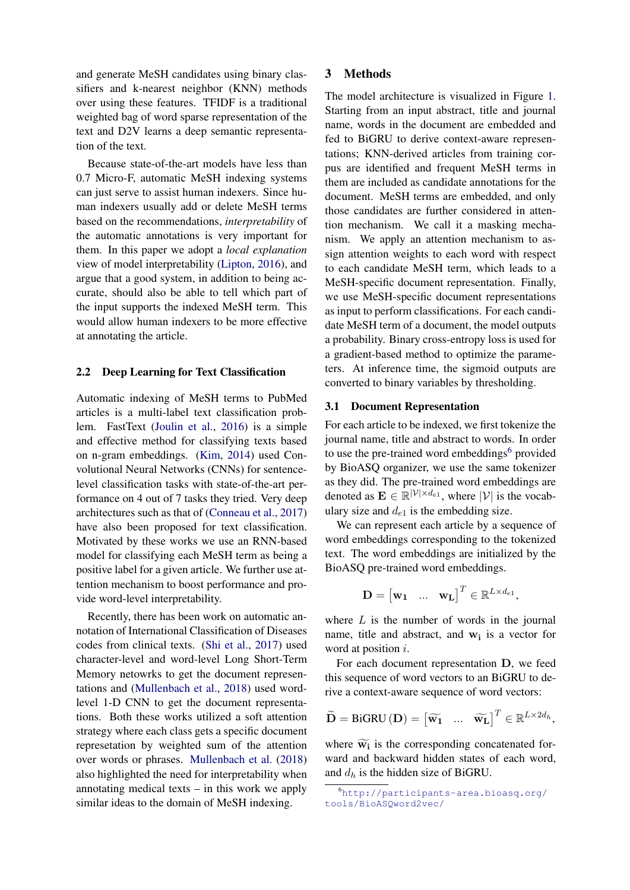and generate MeSH candidates using binary classifiers and k-nearest neighbor (KNN) methods over using these features. TFIDF is a traditional weighted bag of word sparse representation of the text and D2V learns a deep semantic representation of the text.

Because state-of-the-art models have less than 0.7 Micro-F, automatic MeSH indexing systems can just serve to assist human indexers. Since human indexers usually add or delete MeSH terms based on the recommendations, *interpretability* of the automatic annotations is very important for them. In this paper we adopt a *local explanation* view of model interpretability (Lipton, 2016), and argue that a good system, in addition to being accurate, should also be able to tell which part of the input supports the indexed MeSH term. This would allow human indexers to be more effective at annotating the article.

#### 2.2 Deep Learning for Text Classification

Automatic indexing of MeSH terms to PubMed articles is a multi-label text classification problem. FastText (Joulin et al., 2016) is a simple and effective method for classifying texts based on n-gram embeddings. (Kim, 2014) used Convolutional Neural Networks (CNNs) for sentencelevel classification tasks with state-of-the-art performance on 4 out of 7 tasks they tried. Very deep architectures such as that of (Conneau et al., 2017) have also been proposed for text classification. Motivated by these works we use an RNN-based model for classifying each MeSH term as being a positive label for a given article. We further use attention mechanism to boost performance and provide word-level interpretability.

Recently, there has been work on automatic annotation of International Classification of Diseases codes from clinical texts. (Shi et al., 2017) used character-level and word-level Long Short-Term Memory netowrks to get the document representations and (Mullenbach et al., 2018) used wordlevel 1-D CNN to get the document representations. Both these works utilized a soft attention strategy where each class gets a specific document represetation by weighted sum of the attention over words or phrases. Mullenbach et al. (2018) also highlighted the need for interpretability when annotating medical texts – in this work we apply similar ideas to the domain of MeSH indexing.

### 3 Methods

The model architecture is visualized in Figure 1. Starting from an input abstract, title and journal name, words in the document are embedded and fed to BiGRU to derive context-aware representations; KNN-derived articles from training corpus are identified and frequent MeSH terms in them are included as candidate annotations for the document. MeSH terms are embedded, and only those candidates are further considered in attention mechanism. We call it a masking mechanism. We apply an attention mechanism to assign attention weights to each word with respect to each candidate MeSH term, which leads to a MeSH-specific document representation. Finally, we use MeSH-specific document representations as input to perform classifications. For each candidate MeSH term of a document, the model outputs a probability. Binary cross-entropy loss is used for a gradient-based method to optimize the parameters. At inference time, the sigmoid outputs are converted to binary variables by thresholding.

#### 3.1 Document Representation

For each article to be indexed, we first tokenize the journal name, title and abstract to words. In order to use the pre-trained word embeddings<sup>6</sup> provided by BioASQ organizer, we use the same tokenizer as they did. The pre-trained word embeddings are denoted as  $\mathbf{E} \in \mathbb{R}^{|\mathcal{V}| \times d_{e1}}$ , where  $|\mathcal{V}|$  is the vocabulary size and  $d_{e1}$  is the embedding size.

We can represent each article by a sequence of word embeddings corresponding to the tokenized text. The word embeddings are initialized by the BioASQ pre-trained word embeddings.

$$
\mathbf{D} = \begin{bmatrix} \mathbf{w_1} & \dots & \mathbf{w_L} \end{bmatrix}^T \in \mathbb{R}^{L \times d_{e1}},
$$

where  $L$  is the number of words in the journal name, title and abstract, and  $w_i$  is a vector for word at position *i*.

For each document representation D, we feed this sequence of word vectors to an BiGRU to derive a context-aware sequence of word vectors:

$$
\widetilde{\mathbf{D}} = \text{BiGRU}(\mathbf{D}) = \begin{bmatrix} \widetilde{\mathbf{w}}_1 & \dots & \widetilde{\mathbf{w}}_L \end{bmatrix}^T \in \mathbb{R}^{L \times 2d_h},
$$

where  $\widetilde{w_i}$  is the corresponding concatenated forward and backward hidden states of each word, and  $d_h$  is the hidden size of BiGRU.

<sup>6</sup>http://participants-area.bioasq.org/ tools/BioASQword2vec/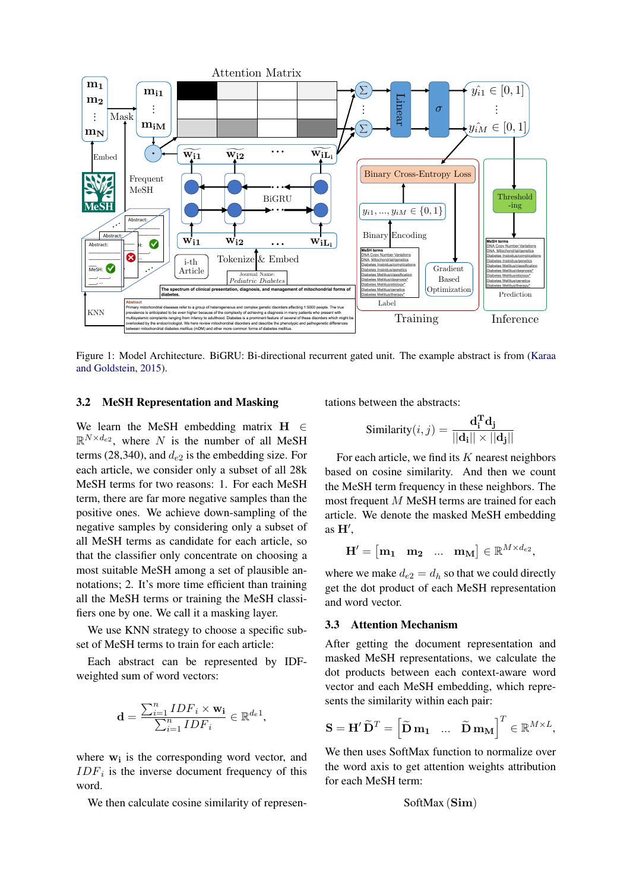

Figure 1: Model Architecture. BiGRU: Bi-directional recurrent gated unit. The example abstract is from (Karaa and Goldstein, 2015).

### 3.2 MeSH Representation and Masking

We learn the MeSH embedding matrix  $H \in$  $\mathbb{R}^{N \times d_{e2}}$ , where N is the number of all MeSH terms (28,340), and  $d_{e2}$  is the embedding size. For each article, we consider only a subset of all 28k MeSH terms for two reasons: 1. For each MeSH term, there are far more negative samples than the positive ones. We achieve down-sampling of the negative samples by considering only a subset of all MeSH terms as candidate for each article, so that the classifier only concentrate on choosing a most suitable MeSH among a set of plausible annotations; 2. It's more time efficient than training all the MeSH terms or training the MeSH classifiers one by one. We call it a masking layer.

We use KNN strategy to choose a specific subset of MeSH terms to train for each article:

Each abstract can be represented by IDFweighted sum of word vectors:

$$
\mathbf{d} = \frac{\sum_{i=1}^{n} IDF_i \times \mathbf{w_i}}{\sum_{i=1}^{n}IDF_i} \in \mathbb{R}^{d_e 1},
$$

where  $w_i$  is the corresponding word vector, and  $IDF_i$  is the inverse document frequency of this word.

We then calculate cosine similarity of represen-

tations between the abstracts:

$$
\text{Similarity}(i, j) = \frac{\mathbf{d_i^T} \mathbf{d_j}}{||\mathbf{d_i}|| \times ||\mathbf{d_j}||}
$$

For each article, we find its  $K$  nearest neighbors based on cosine similarity. And then we count the MeSH term frequency in these neighbors. The most frequent M MeSH terms are trained for each article. We denote the masked MeSH embedding as  $H'$ ,

$$
\mathbf{H}' = \begin{bmatrix} \mathbf{m_1} & \mathbf{m_2} & \dots & \mathbf{m_M} \end{bmatrix} \in \mathbb{R}^{M \times d_{e2}},
$$

where we make  $d_{e2} = d_h$  so that we could directly get the dot product of each MeSH representation and word vector.

#### 3.3 Attention Mechanism

After getting the document representation and masked MeSH representations, we calculate the dot products between each context-aware word vector and each MeSH embedding, which represents the similarity within each pair:

$$
\mathbf{S} = \mathbf{H}' \, \widetilde{\mathbf{D}}^T = \begin{bmatrix} \widetilde{\mathbf{D}} \, \mathbf{m_1} & \dots & \widetilde{\mathbf{D}} \, \mathbf{m_M} \end{bmatrix}^T \in \mathbb{R}^{M \times L},
$$

We then uses SoftMax function to normalize over the word axis to get attention weights attribution for each MeSH term:

$$
SoftMax\left(\mathbf{Sim}\right)
$$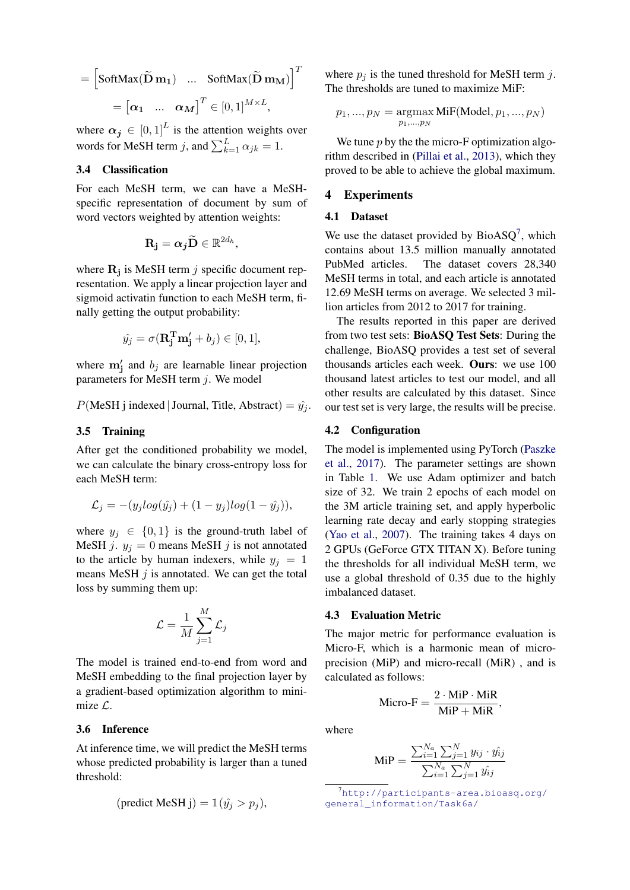$$
= \begin{bmatrix} \text{SoftMax}(\widetilde{\mathbf{D}} \mathbf{m}_1) & \dots & \text{SoftMax}(\widetilde{\mathbf{D}} \mathbf{m}_M) \end{bmatrix}^T
$$

$$
= \begin{bmatrix} \alpha_1 & \dots & \alpha_M \end{bmatrix}^T \in [0, 1]^{M \times L},
$$

where  $\alpha_j \in [0,1]^L$  is the attention weights over words for MeSH term j, and  $\sum_{k=1}^{L} \alpha_{jk} = 1$ .

## 3.4 Classification

For each MeSH term, we can have a MeSHspecific representation of document by sum of word vectors weighted by attention weights:

$$
\mathbf{R_j} = \boldsymbol{\alpha_j} \widetilde{\mathbf{D}} \in \mathbb{R}^{2d_h},
$$

where  $\mathbf{R}_{j}$  is MeSH term j specific document representation. We apply a linear projection layer and sigmoid activatin function to each MeSH term, finally getting the output probability:

$$
\hat{y_j} = \sigma(\mathbf{R}_j^T \mathbf{m}_j' + b_j) \in [0, 1],
$$

where  $m'_j$  and  $b_j$  are learnable linear projection parameters for MeSH term  $i$ . We model

$$
P(\text{MeSH}\text{ j indexed}|\text{Journal}, \text{Title}, \text{Abstract}) = \hat{y_j}.
$$

#### 3.5 Training

After get the conditioned probability we model, we can calculate the binary cross-entropy loss for each MeSH term:

$$
\mathcal{L}_j = -(y_j log(\hat{y}_j) + (1 - y_j) log(1 - \hat{y}_j)),
$$

where  $y_i \in \{0, 1\}$  is the ground-truth label of MeSH j.  $y_j = 0$  means MeSH j is not annotated to the article by human indexers, while  $y_i = 1$ means MeSH  $j$  is annotated. We can get the total loss by summing them up:

$$
\mathcal{L} = \frac{1}{M} \sum_{j=1}^{M} \mathcal{L}_j
$$

The model is trained end-to-end from word and MeSH embedding to the final projection layer by a gradient-based optimization algorithm to minimize  $\mathcal{L}$ .

#### 3.6 Inference

At inference time, we will predict the MeSH terms whose predicted probability is larger than a tuned threshold:

$$
(\text{predict MeSH j}) = \mathbb{1}(\hat{y_j} > p_j),
$$

where  $p_j$  is the tuned threshold for MeSH term j. The thresholds are tuned to maximize MiF:

$$
p_1, ..., p_N = \underset{p_1, ..., p_N}{\text{argmax}} \, \text{MiF}(\text{Model}, p_1, ..., p_N)
$$

We tune  $p$  by the the micro-F optimization algorithm described in (Pillai et al., 2013), which they proved to be able to achieve the global maximum.

### 4 Experiments

### 4.1 Dataset

We use the dataset provided by  $BioASQ<sup>7</sup>$ , which contains about 13.5 million manually annotated PubMed articles. The dataset covers 28,340 MeSH terms in total, and each article is annotated 12.69 MeSH terms on average. We selected 3 million articles from 2012 to 2017 for training.

The results reported in this paper are derived from two test sets: BioASQ Test Sets: During the challenge, BioASQ provides a test set of several thousands articles each week. Ours: we use 100 thousand latest articles to test our model, and all other results are calculated by this dataset. Since our test set is very large, the results will be precise.

#### 4.2 Configuration

The model is implemented using PyTorch (Paszke et al., 2017). The parameter settings are shown in Table 1. We use Adam optimizer and batch size of 32. We train 2 epochs of each model on the 3M article training set, and apply hyperbolic learning rate decay and early stopping strategies (Yao et al., 2007). The training takes 4 days on 2 GPUs (GeForce GTX TITAN X). Before tuning the thresholds for all individual MeSH term, we use a global threshold of 0.35 due to the highly imbalanced dataset.

### 4.3 Evaluation Metric

The major metric for performance evaluation is Micro-F, which is a harmonic mean of microprecision (MiP) and micro-recall (MiR) , and is calculated as follows:

$$
Micro-F = \frac{2 \cdot MiP \cdot MiR}{MiP + MiR},
$$

where

$$
\text{MiP} = \frac{\sum_{i=1}^{N_a} \sum_{j=1}^{N} y_{ij} \cdot \hat{y_{ij}}}{\sum_{i=1}^{N_a} \sum_{j=1}^{N} \hat{y_{ij}}}
$$

<sup>7</sup>http://participants-area.bioasq.org/ general\_information/Task6a/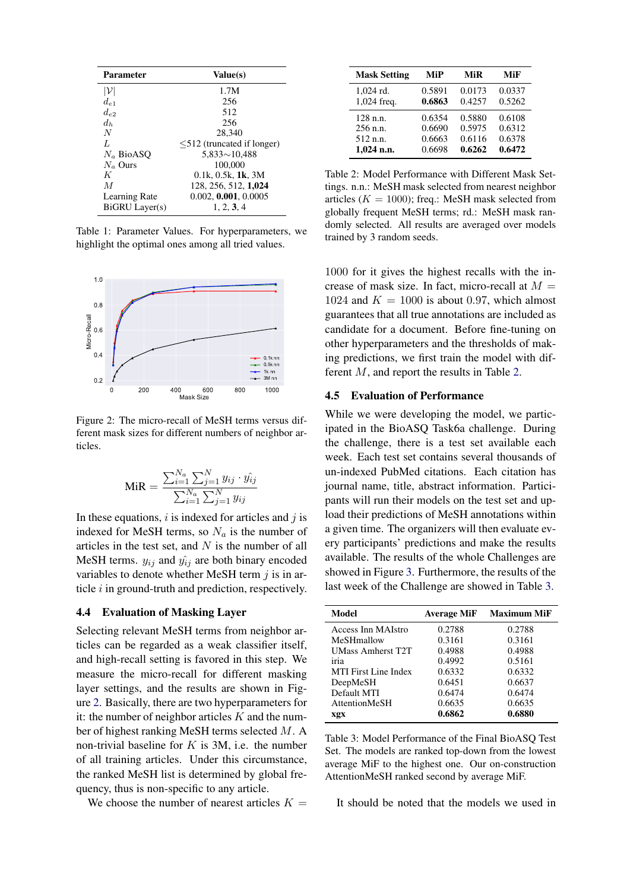| <b>Parameter</b> | Value(s)                         |
|------------------|----------------------------------|
| $ \mathcal{V} $  | 1.7M                             |
| $d_{e_1}$        | 256                              |
| $d_{\epsilon}$   | 512                              |
| $d_h$            | 256                              |
| $\overline{N}$   | 28,340                           |
| L                | $\leq 512$ (truncated if longer) |
| $N_a$ BioASO     | $5,833 \sim 10,488$              |
| $N_a$ Ours       | 100,000                          |
| K                | $0.1k$ , $0.5k$ , $1k$ , $3M$    |
| M                | 128, 256, 512, 1,024             |
| Learning Rate    | 0.002, 0.001, 0.0005             |
| BiGRU Layer(s)   | 1, 2, 3, 4                       |

Table 1: Parameter Values. For hyperparameters, we highlight the optimal ones among all tried values.



Figure 2: The micro-recall of MeSH terms versus different mask sizes for different numbers of neighbor articles.

$$
\text{MiR} = \frac{\sum_{i=1}^{N_a} \sum_{j=1}^{N} y_{ij} \cdot \hat{y_{ij}}}{\sum_{i=1}^{N_a} \sum_{j=1}^{N} y_{ij}}
$$

In these equations,  $i$  is indexed for articles and  $j$  is indexed for MeSH terms, so  $N_a$  is the number of articles in the test set, and  $N$  is the number of all MeSH terms.  $y_{ij}$  and  $\hat{y_{ij}}$  are both binary encoded variables to denote whether MeSH term  $j$  is in article i in ground-truth and prediction, respectively.

### 4.4 Evaluation of Masking Layer

Selecting relevant MeSH terms from neighbor articles can be regarded as a weak classifier itself, and high-recall setting is favored in this step. We measure the micro-recall for different masking layer settings, and the results are shown in Figure 2. Basically, there are two hyperparameters for it: the number of neighbor articles  $K$  and the number of highest ranking MeSH terms selected M. A non-trivial baseline for  $K$  is 3M, i.e. the number of all training articles. Under this circumstance, the ranked MeSH list is determined by global frequency, thus is non-specific to any article.

We choose the number of nearest articles  $K =$ 

| <b>Mask Setting</b> | MiP    | MiR    | MiF    |
|---------------------|--------|--------|--------|
| 1,024 rd.           | 0.5891 | 0.0173 | 0.0337 |
| 1,024 freq.         | 0.6863 | 0.4257 | 0.5262 |
| $128$ n.n.          | 0.6354 | 0.5880 | 0.6108 |
| 256 n.n.            | 0.6690 | 0.5975 | 0.6312 |
| 512 n.n.            | 0.6663 | 0.6116 | 0.6378 |
| $1,024$ n.n.        | 0.6698 | 0.6262 | 0.6472 |

Table 2: Model Performance with Different Mask Settings. n.n.: MeSH mask selected from nearest neighbor articles ( $K = 1000$ ); freq.: MeSH mask selected from globally frequent MeSH terms; rd.: MeSH mask randomly selected. All results are averaged over models trained by 3 random seeds.

1000 for it gives the highest recalls with the increase of mask size. In fact, micro-recall at  $M =$ 1024 and  $K = 1000$  is about 0.97, which almost guarantees that all true annotations are included as candidate for a document. Before fine-tuning on other hyperparameters and the thresholds of making predictions, we first train the model with different M, and report the results in Table 2.

### 4.5 Evaluation of Performance

While we were developing the model, we participated in the BioASQ Task6a challenge. During the challenge, there is a test set available each week. Each test set contains several thousands of un-indexed PubMed citations. Each citation has journal name, title, abstract information. Participants will run their models on the test set and upload their predictions of MeSH annotations within a given time. The organizers will then evaluate every participants' predictions and make the results available. The results of the whole Challenges are showed in Figure 3. Furthermore, the results of the last week of the Challenge are showed in Table 3.

| Model                       | <b>Average MiF</b> | <b>Maximum MiF</b> |
|-----------------------------|--------------------|--------------------|
| Access Inn MAIstro          | 0.2788             | 0.2788             |
| MeSHmallow                  | 0.3161             | 0.3161             |
| <b>UMass Amherst T2T</b>    | 0.4988             | 0.4988             |
| iria                        | 0.4992             | 0.5161             |
| <b>MTI</b> First Line Index | 0.6332             | 0.6332             |
| DeepMeSH                    | 0.6451             | 0.6637             |
| Default MTI                 | 0.6474             | 0.6474             |
| AttentionMeSH               | 0.6635             | 0.6635             |
| xgx                         | 0.6862             | 0.6880             |

Table 3: Model Performance of the Final BioASQ Test Set. The models are ranked top-down from the lowest average MiF to the highest one. Our on-construction AttentionMeSH ranked second by average MiF.

It should be noted that the models we used in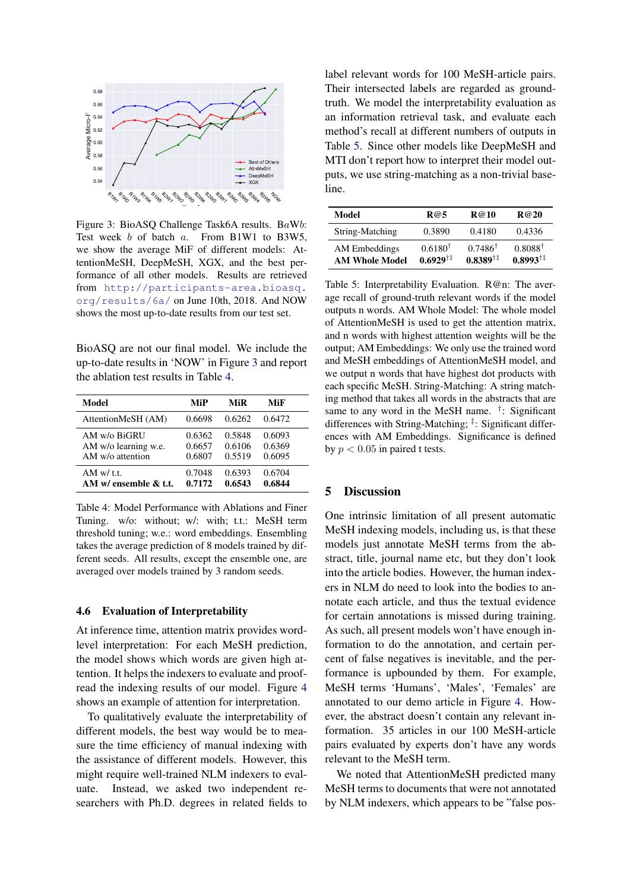

Figure 3: BioASQ Challenge Task6A results. BaWb: Test week b of batch a. From B1W1 to B3W5, we show the average MiF of different models: AttentionMeSH, DeepMeSH, XGX, and the best performance of all other models. Results are retrieved from http://participants-area.bioasq. org/results/6a/ on June 10th, 2018. And NOW shows the most up-to-date results from our test set.

BioASQ are not our final model. We include the up-to-date results in 'NOW' in Figure 3 and report the ablation test results in Table 4.

| Model                     | MiP    | MiR    | MiF    |
|---------------------------|--------|--------|--------|
| AttentionMeSH (AM)        | 0.6698 | 0.6262 | 0.6472 |
| AM w/o BiGRU              | 0.6362 | 0.5848 | 0.6093 |
| AM w/o learning w.e.      | 0.6657 | 0.6106 | 0.6369 |
| $AM w/o$ attention        | 0.6807 | 0.5519 | 0.6095 |
| AM w/t.t.                 | 0.7048 | 0.6393 | 0.6704 |
| AM $w$ ensemble $\&$ t.t. | 0.7172 | 0.6543 | 0.6844 |

Table 4: Model Performance with Ablations and Finer Tuning. w/o: without; w/: with; t.t.: MeSH term threshold tuning; w.e.: word embeddings. Ensembling takes the average prediction of 8 models trained by different seeds. All results, except the ensemble one, are averaged over models trained by 3 random seeds.

#### 4.6 Evaluation of Interpretability

At inference time, attention matrix provides wordlevel interpretation: For each MeSH prediction, the model shows which words are given high attention. It helps the indexers to evaluate and proofread the indexing results of our model. Figure 4 shows an example of attention for interpretation.

To qualitatively evaluate the interpretability of different models, the best way would be to measure the time efficiency of manual indexing with the assistance of different models. However, this might require well-trained NLM indexers to evaluate. Instead, we asked two independent researchers with Ph.D. degrees in related fields to label relevant words for 100 MeSH-article pairs. Their intersected labels are regarded as groundtruth. We model the interpretability evaluation as an information retrieval task, and evaluate each method's recall at different numbers of outputs in Table 5. Since other models like DeepMeSH and MTI don't report how to interpret their model outputs, we use string-matching as a non-trivial baseline.

| Model                                  | R@5                                      | R@10                                         | R@20                                             |
|----------------------------------------|------------------------------------------|----------------------------------------------|--------------------------------------------------|
| String-Matching                        | 0.3890                                   | 0.4180                                       | 0.4336                                           |
| AM Embeddings<br><b>AM Whole Model</b> | $0.6180^{\dagger}$<br>$0.6929^{\dagger}$ | $0.7486^{\dagger}$<br>$0.8389$ <sup>†‡</sup> | $0.8088^{\dagger}$<br>$0.8993^{\dagger\ddagger}$ |

Table 5: Interpretability Evaluation. R@n: The average recall of ground-truth relevant words if the model outputs n words. AM Whole Model: The whole model of AttentionMeSH is used to get the attention matrix, and n words with highest attention weights will be the output; AM Embeddings: We only use the trained word and MeSH embeddings of AttentionMeSH model, and we output n words that have highest dot products with each specific MeSH. String-Matching: A string matching method that takes all words in the abstracts that are same to any word in the MeSH name. <sup>†</sup>: Significant differences with String-Matching; ‡ : Significant differences with AM Embeddings. Significance is defined by  $p < 0.05$  in paired t tests.

## 5 Discussion

One intrinsic limitation of all present automatic MeSH indexing models, including us, is that these models just annotate MeSH terms from the abstract, title, journal name etc, but they don't look into the article bodies. However, the human indexers in NLM do need to look into the bodies to annotate each article, and thus the textual evidence for certain annotations is missed during training. As such, all present models won't have enough information to do the annotation, and certain percent of false negatives is inevitable, and the performance is upbounded by them. For example, MeSH terms 'Humans', 'Males', 'Females' are annotated to our demo article in Figure 4. However, the abstract doesn't contain any relevant information. 35 articles in our 100 MeSH-article pairs evaluated by experts don't have any words relevant to the MeSH term.

We noted that AttentionMeSH predicted many MeSH terms to documents that were not annotated by NLM indexers, which appears to be "false pos-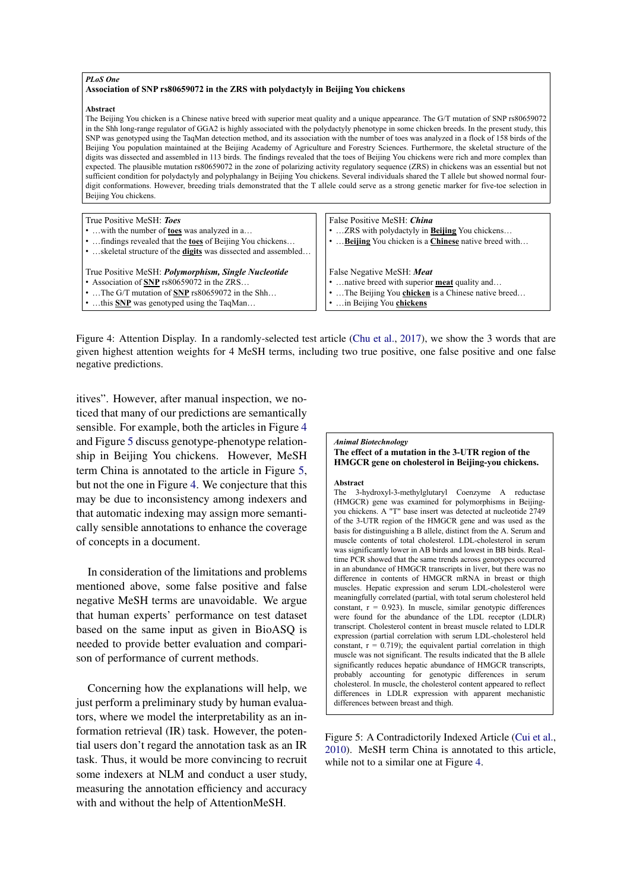#### *PLoS One*

#### **Association of SNP rs80659072 in the ZRS with polydactyly in Beijing You chickens**

#### **Abstract**

The Beijing You chicken is a Chinese native breed with superior meat quality and a unique appearance. The G/T mutation of SNP rs80659072 in the Shh long-range regulator of GGA2 is highly associated with the polydactyly phenotype in some chicken breeds. In the present study, this SNP was genotyped using the TaqMan detection method, and its association with the number of toes was analyzed in a flock of 158 birds of the Beijing You population maintained at the Beijing Academy of Agriculture and Forestry Sciences. Furthermore, the skeletal structure of the digits was dissected and assembled in 113 birds. The findings revealed that the toes of Beijing You chickens were rich and more complex than expected. The plausible mutation rs80659072 in the zone of polarizing activity regulatory sequence (ZRS) in chickens was an essential but not sufficient condition for polydactyly and polyphalangy in Beijing You chickens. Several individuals shared the T allele but showed normal fourdigit conformations. However, breeding trials demonstrated that the T allele could serve as a strong genetic marker for five-toe selection in Beijing You chickens.

| True Positive MeSH: Toes<br>with the number of <b>toes</b> was analyzed in a<br>•  findings revealed that the toes of Beijing You chickens<br>• skeletal structure of the <b>digits</b> was dissected and assembled | False Positive MeSH: China<br>ZRS with polydactyly in <b>Beijing</b> You chickens<br>Beijing You chicken is a Chinese native breed with |
|---------------------------------------------------------------------------------------------------------------------------------------------------------------------------------------------------------------------|-----------------------------------------------------------------------------------------------------------------------------------------|
| True Positive MeSH: Polymorphism, Single Nucleotide                                                                                                                                                                 | False Negative MeSH: Meat                                                                                                               |
| • Association of SNP rs80659072 in the ZRS                                                                                                                                                                          | native breed with superior <b>meat</b> quality and                                                                                      |
| $\bullet$ The G/T mutation of SNP rs80659072 in the Shh                                                                                                                                                             | The Beijing You <b>chicken</b> is a Chinese native breed                                                                                |
| • this SNP was genotyped using the TaqMan                                                                                                                                                                           | in Beijing You chickens                                                                                                                 |

Figure 4: Attention Display. In a randomly-selected test article (Chu et al., 2017), we show the 3 words that are given highest attention weights for 4 MeSH terms, including two true positive, one false positive and one false negative predictions.

itives". However, after manual inspection, we noticed that many of our predictions are semantically sensible. For example, both the articles in Figure 4 and Figure 5 discuss genotype-phenotype relationship in Beijing You chickens. However, MeSH term China is annotated to the article in Figure 5, but not the one in Figure 4. We conjecture that this may be due to inconsistency among indexers and that automatic indexing may assign more semantically sensible annotations to enhance the coverage of concepts in a document.

In consideration of the limitations and problems mentioned above, some false positive and false negative MeSH terms are unavoidable. We argue that human experts' performance on test dataset based on the same input as given in BioASQ is needed to provide better evaluation and comparison of performance of current methods.

Concerning how the explanations will help, we just perform a preliminary study by human evaluators, where we model the interpretability as an information retrieval (IR) task. However, the potential users don't regard the annotation task as an IR task. Thus, it would be more convincing to recruit some indexers at NLM and conduct a user study, measuring the annotation efficiency and accuracy with and without the help of AttentionMeSH.

#### *Animal Biotechnology* **The effect of a mutation in the 3-UTR region of the**

**HMGCR gene on cholesterol in Beijing-you chickens.**

#### **Abstract**

The 3-hydroxyl-3-methylglutaryl Coenzyme A reductase (HMGCR) gene was examined for polymorphisms in Beijingyou chickens. A "T" base insert was detected at nucleotide 2749 of the 3-UTR region of the HMGCR gene and was used as the basis for distinguishing a B allele, distinct from the A. Serum and muscle contents of total cholesterol. LDL-cholesterol in serum was significantly lower in AB birds and lowest in BB birds. Realtime PCR showed that the same trends across genotypes occurred in an abundance of HMGCR transcripts in liver, but there was no difference in contents of HMGCR mRNA in breast or thigh muscles. Hepatic expression and serum LDL-cholesterol were meaningfully correlated (partial, with total serum cholesterol held constant,  $r = 0.923$ ). In muscle, similar genotypic differences were found for the abundance of the LDL receptor (LDLR) transcript. Cholesterol content in breast muscle related to LDLR expression (partial correlation with serum LDL-cholesterol held constant,  $r = 0.719$ ; the equivalent partial correlation in thigh muscle was not significant. The results indicated that the B allele significantly reduces hepatic abundance of HMGCR transcripts. probably accounting for genotypic differences in serum cholesterol. In muscle, the cholesterol content appeared to reflect differences in LDLR expression with apparent mechanistic differences between breast and thigh.

Figure 5: A Contradictorily Indexed Article (Cui et al., 2010). MeSH term China is annotated to this article, while not to a similar one at Figure 4.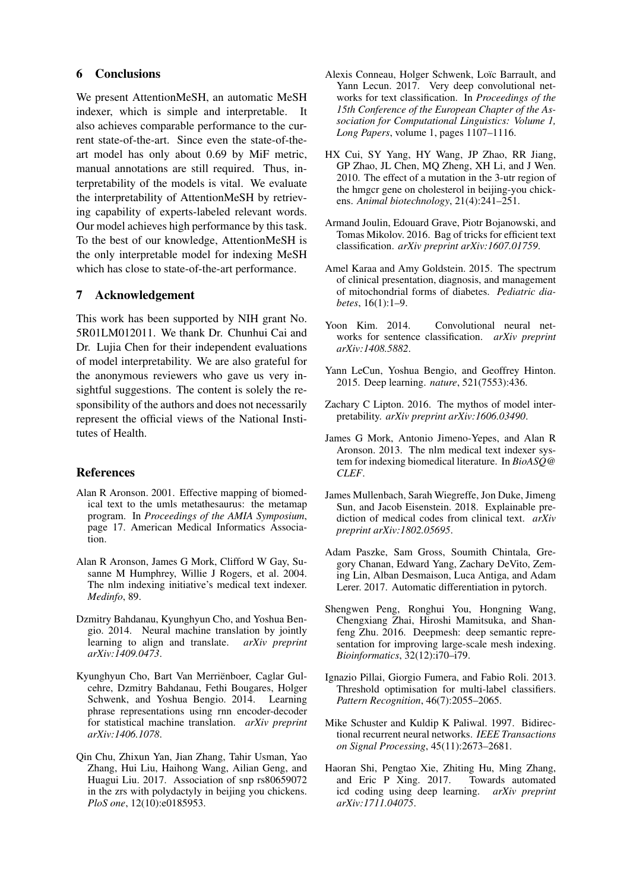### 6 Conclusions

We present AttentionMeSH, an automatic MeSH indexer, which is simple and interpretable. It also achieves comparable performance to the current state-of-the-art. Since even the state-of-theart model has only about 0.69 by MiF metric, manual annotations are still required. Thus, interpretability of the models is vital. We evaluate the interpretability of AttentionMeSH by retrieving capability of experts-labeled relevant words. Our model achieves high performance by this task. To the best of our knowledge, AttentionMeSH is the only interpretable model for indexing MeSH which has close to state-of-the-art performance.

### 7 Acknowledgement

This work has been supported by NIH grant No. 5R01LM012011. We thank Dr. Chunhui Cai and Dr. Lujia Chen for their independent evaluations of model interpretability. We are also grateful for the anonymous reviewers who gave us very insightful suggestions. The content is solely the responsibility of the authors and does not necessarily represent the official views of the National Institutes of Health.

## References

- Alan R Aronson. 2001. Effective mapping of biomedical text to the umls metathesaurus: the metamap program. In *Proceedings of the AMIA Symposium*, page 17. American Medical Informatics Association.
- Alan R Aronson, James G Mork, Clifford W Gay, Susanne M Humphrey, Willie J Rogers, et al. 2004. The nlm indexing initiative's medical text indexer. *Medinfo*, 89.
- Dzmitry Bahdanau, Kyunghyun Cho, and Yoshua Bengio. 2014. Neural machine translation by jointly learning to align and translate. *arXiv preprint arXiv:1409.0473*.
- Kyunghyun Cho, Bart Van Merrienboer, Caglar Gul- ¨ cehre, Dzmitry Bahdanau, Fethi Bougares, Holger Schwenk, and Yoshua Bengio. 2014. Learning phrase representations using rnn encoder-decoder for statistical machine translation. *arXiv preprint arXiv:1406.1078*.
- Qin Chu, Zhixun Yan, Jian Zhang, Tahir Usman, Yao Zhang, Hui Liu, Haihong Wang, Ailian Geng, and Huagui Liu. 2017. Association of snp rs80659072 in the zrs with polydactyly in beijing you chickens. *PloS one*, 12(10):e0185953.
- Alexis Conneau, Holger Schwenk, Loïc Barrault, and Yann Lecun. 2017. Very deep convolutional networks for text classification. In *Proceedings of the 15th Conference of the European Chapter of the Association for Computational Linguistics: Volume 1, Long Papers*, volume 1, pages 1107–1116.
- HX Cui, SY Yang, HY Wang, JP Zhao, RR Jiang, GP Zhao, JL Chen, MQ Zheng, XH Li, and J Wen. 2010. The effect of a mutation in the 3-utr region of the hmgcr gene on cholesterol in beijing-you chickens. *Animal biotechnology*, 21(4):241–251.
- Armand Joulin, Edouard Grave, Piotr Bojanowski, and Tomas Mikolov. 2016. Bag of tricks for efficient text classification. *arXiv preprint arXiv:1607.01759*.
- Amel Karaa and Amy Goldstein. 2015. The spectrum of clinical presentation, diagnosis, and management of mitochondrial forms of diabetes. *Pediatric diabetes*, 16(1):1–9.
- Yoon Kim. 2014. Convolutional neural networks for sentence classification. *arXiv preprint arXiv:1408.5882*.
- Yann LeCun, Yoshua Bengio, and Geoffrey Hinton. 2015. Deep learning. *nature*, 521(7553):436.
- Zachary C Lipton. 2016. The mythos of model interpretability. *arXiv preprint arXiv:1606.03490*.
- James G Mork, Antonio Jimeno-Yepes, and Alan R Aronson. 2013. The nlm medical text indexer system for indexing biomedical literature. In *BioASQ@ CLEF*.
- James Mullenbach, Sarah Wiegreffe, Jon Duke, Jimeng Sun, and Jacob Eisenstein. 2018. Explainable prediction of medical codes from clinical text. *arXiv preprint arXiv:1802.05695*.
- Adam Paszke, Sam Gross, Soumith Chintala, Gregory Chanan, Edward Yang, Zachary DeVito, Zeming Lin, Alban Desmaison, Luca Antiga, and Adam Lerer. 2017. Automatic differentiation in pytorch.
- Shengwen Peng, Ronghui You, Hongning Wang, Chengxiang Zhai, Hiroshi Mamitsuka, and Shanfeng Zhu. 2016. Deepmesh: deep semantic representation for improving large-scale mesh indexing. *Bioinformatics*, 32(12):i70–i79.
- Ignazio Pillai, Giorgio Fumera, and Fabio Roli. 2013. Threshold optimisation for multi-label classifiers. *Pattern Recognition*, 46(7):2055–2065.
- Mike Schuster and Kuldip K Paliwal. 1997. Bidirectional recurrent neural networks. *IEEE Transactions on Signal Processing*, 45(11):2673–2681.
- Haoran Shi, Pengtao Xie, Zhiting Hu, Ming Zhang, and Eric P Xing.  $2017$ . icd coding using deep learning. *arXiv preprint arXiv:1711.04075*.